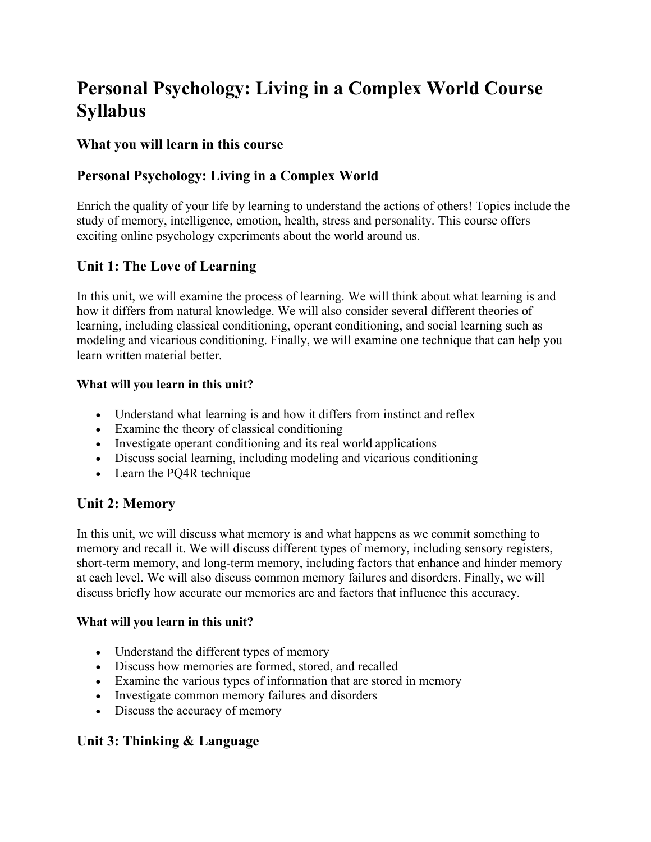# **Personal Psychology: Living in a Complex World Course Syllabus**

## **What you will learn in this course**

# **Personal Psychology: Living in a Complex World**

Enrich the quality of your life by learning to understand the actions of others! Topics include the study of memory, intelligence, emotion, health, stress and personality. This course offers exciting online psychology experiments about the world around us.

# **Unit 1: The Love of Learning**

In this unit, we will examine the process of learning. We will think about what learning is and how it differs from natural knowledge. We will also consider several different theories of learning, including classical conditioning, operant conditioning, and social learning such as modeling and vicarious conditioning. Finally, we will examine one technique that can help you learn written material better.

#### **What will you learn in this unit?**

- Understand what learning is and how it differs from instinct and reflex
- Examine the theory of classical conditioning
- Investigate operant conditioning and its real world applications
- Discuss social learning, including modeling and vicarious conditioning
- Learn the PQ4R technique

## **Unit 2: Memory**

In this unit, we will discuss what memory is and what happens as we commit something to memory and recall it. We will discuss different types of memory, including sensory registers, short-term memory, and long-term memory, including factors that enhance and hinder memory at each level. We will also discuss common memory failures and disorders. Finally, we will discuss briefly how accurate our memories are and factors that influence this accuracy.

#### **What will you learn in this unit?**

- Understand the different types of memory
- Discuss how memories are formed, stored, and recalled
- Examine the various types of information that are stored in memory
- Investigate common memory failures and disorders
- Discuss the accuracy of memory

# **Unit 3: Thinking & Language**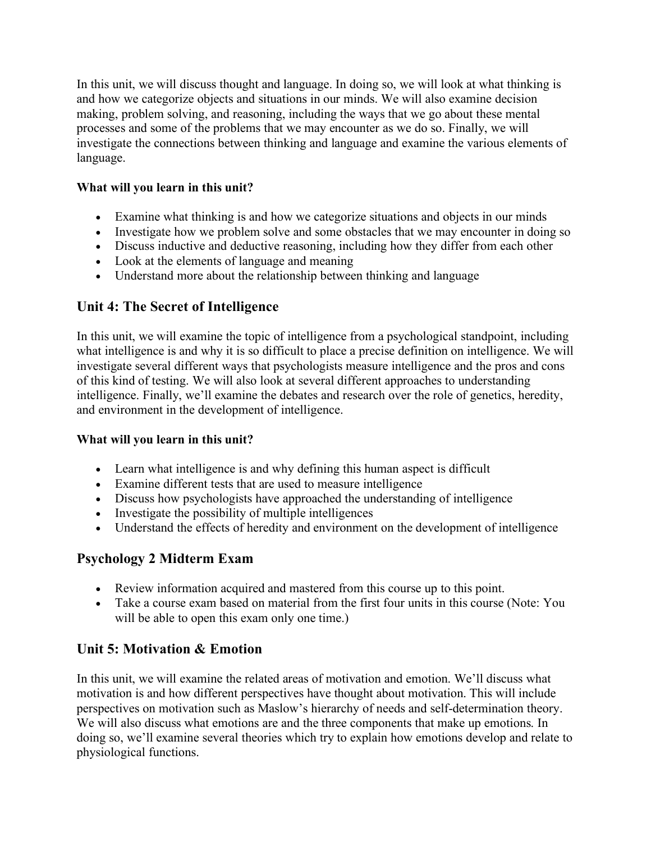In this unit, we will discuss thought and language. In doing so, we will look at what thinking is and how we categorize objects and situations in our minds. We will also examine decision making, problem solving, and reasoning, including the ways that we go about these mental processes and some of the problems that we may encounter as we do so. Finally, we will investigate the connections between thinking and language and examine the various elements of language.

## **What will you learn in this unit?**

- Examine what thinking is and how we categorize situations and objects in our minds
- Investigate how we problem solve and some obstacles that we may encounter in doing so
- Discuss inductive and deductive reasoning, including how they differ from each other
- Look at the elements of language and meaning
- Understand more about the relationship between thinking and language

## **Unit 4: The Secret of Intelligence**

In this unit, we will examine the topic of intelligence from a psychological standpoint, including what intelligence is and why it is so difficult to place a precise definition on intelligence. We will investigate several different ways that psychologists measure intelligence and the pros and cons of this kind of testing. We will also look at several different approaches to understanding intelligence. Finally, we'll examine the debates and research over the role of genetics, heredity, and environment in the development of intelligence.

#### **What will you learn in this unit?**

- Learn what intelligence is and why defining this human aspect is difficult
- Examine different tests that are used to measure intelligence
- Discuss how psychologists have approached the understanding of intelligence
- Investigate the possibility of multiple intelligences
- Understand the effects of heredity and environment on the development of intelligence

## **Psychology 2 Midterm Exam**

- Review information acquired and mastered from this course up to this point.
- Take a course exam based on material from the first four units in this course (Note: You will be able to open this exam only one time.)

# **Unit 5: Motivation & Emotion**

In this unit, we will examine the related areas of motivation and emotion. We'll discuss what motivation is and how different perspectives have thought about motivation. This will include perspectives on motivation such as Maslow's hierarchy of needs and self-determination theory. We will also discuss what emotions are and the three components that make up emotions. In doing so, we'll examine several theories which try to explain how emotions develop and relate to physiological functions.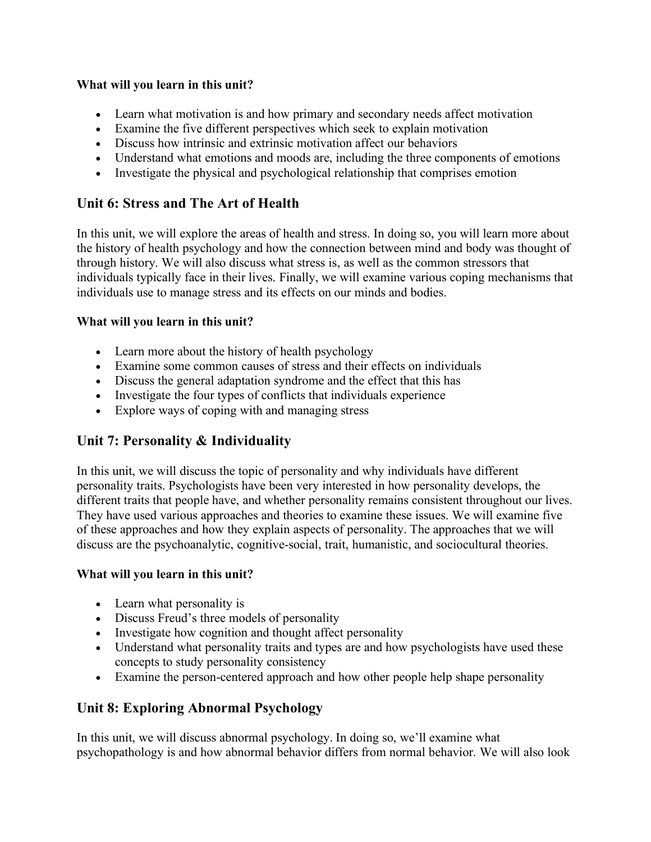#### **What will you learn in this unit?**

- Learn what motivation is and how primary and secondary needs affect motivation
- Examine the five different perspectives which seek to explain motivation
- Discuss how intrinsic and extrinsic motivation affect our behaviors
- Understand what emotions and moods are, including the three components of emotions
- Investigate the physical and psychological relationship that comprises emotion

## **Unit 6: Stress and The Art of Health**

In this unit, we will explore the areas of health and stress. In doing so, you will learn more about the history of health psychology and how the connection between mind and body was thought of through history. We will also discuss what stress is, as well as the common stressors that individuals typically face in their lives. Finally, we will examine various coping mechanisms that individuals use to manage stress and its effects on our minds and bodies.

### **What will you learn in this unit?**

- Learn more about the history of health psychology
- Examine some common causes of stress and their effects on individuals
- Discuss the general adaptation syndrome and the effect that this has
- Investigate the four types of conflicts that individuals experience
- Explore ways of coping with and managing stress

# **Unit 7: Personality & Individuality**

In this unit, we will discuss the topic of personality and why individuals have different personality traits. Psychologists have been very interested in how personality develops, the different traits that people have, and whether personality remains consistent throughout our lives. They have used various approaches and theories to examine these issues. We will examine five of these approaches and how they explain aspects of personality. The approaches that we will discuss are the psychoanalytic, cognitive-social, trait, humanistic, and sociocultural theories.

#### **What will you learn in this unit?**

- Learn what personality is
- Discuss Freud's three models of personality
- Investigate how cognition and thought affect personality
- Understand what personality traits and types are and how psychologists have used these concepts to study personality consistency
- Examine the person-centered approach and how other people help shape personality

# **Unit 8: Exploring Abnormal Psychology**

In this unit, we will discuss abnormal psychology. In doing so, we'll examine what psychopathology is and how abnormal behavior differs from normal behavior. We will also look